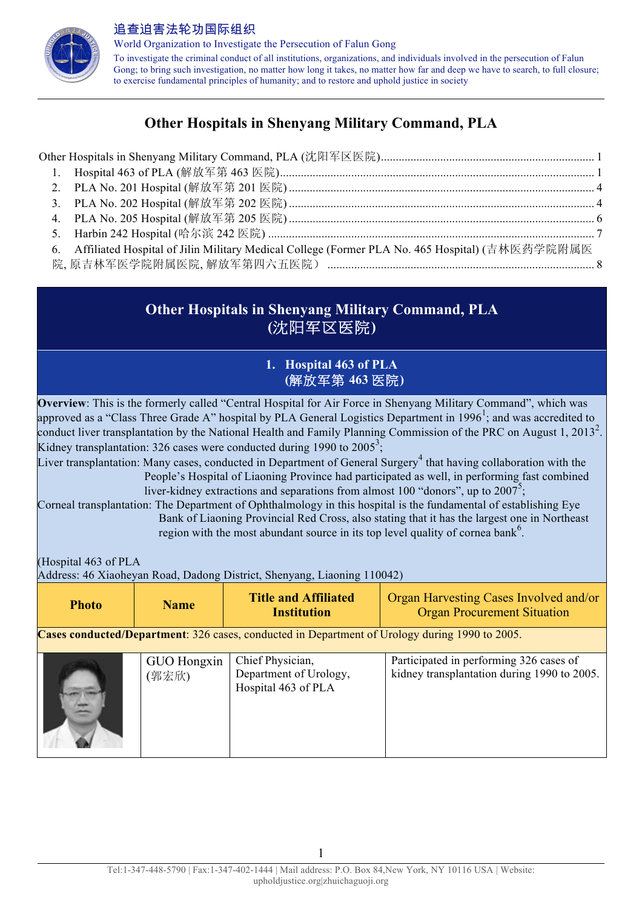

World Organization to Investigate the Persecution of Falun Gong To investigate the criminal conduct of all institutions, organizations, and individuals involved in the persecution of Falun Gong; to bring such investigation, no matter how long it takes, no matter how far and deep we have to search, to full closure; to exercise fundamental principles of humanity; and to restore and uphold justice in society

# **Other Hospitals in Shenyang Military Command, PLA**

| 6. | Affiliated Hospital of Jilin Military Medical College (Former PLA No. 465 Hospital) (吉林医药学院附属医 |  |
|----|------------------------------------------------------------------------------------------------|--|
|    |                                                                                                |  |

# **Other Hospitals in Shenyang Military Command, PLA (**沈阳军区医院**)**

### **1. Hospital 463 of PLA (**解放军第 **463** 医院**)**

**Overview**: This is the formerly called "Central Hospital for Air Force in Shenyang Military Command", which was approved as a "Class Three Grade A" hospital by PLA General Logistics Department in 1996<sup>1</sup>; and was accredited to conduct liver transplantation by the National Health and Family Planning Commission of the PRC on August 1, 2013<sup>2</sup>. Kidney transplantation: 326 cases were conducted during 1990 to  $2005^3$ ;

Liver transplantation: Many cases, conducted in Department of General Surgery<sup>4</sup> that having collaboration with the People's Hospital of Liaoning Province had participated as well, in performing fast combined liver-kidney extractions and separations from almost 100 "donors", up to  $2007^5$ ;

Corneal transplantation: The Department of Ophthalmology in this hospital is the fundamental of establishing Eye Bank of Liaoning Provincial Red Cross, also stating that it has the largest one in Northeast region with the most abundant source in its top level quality of cornea bank<sup>6</sup>.

(Hospital 463 of PLA

Address: 46 Xiaoheyan Road, Dadong District, Shenyang, Liaoning 110042)

| <b>Photo</b>                                                                                          | <b>Name</b>          | <b>Title and Affiliated</b><br><b>Institution</b>                 | Organ Harvesting Cases Involved and/or<br><b>Organ Procurement Situation</b>           |
|-------------------------------------------------------------------------------------------------------|----------------------|-------------------------------------------------------------------|----------------------------------------------------------------------------------------|
| <b>Cases conducted/Department:</b> 326 cases, conducted in Department of Urology during 1990 to 2005. |                      |                                                                   |                                                                                        |
|                                                                                                       | GUO Hongxin<br>(郭宏欣) | Chief Physician,<br>Department of Urology,<br>Hospital 463 of PLA | Participated in performing 326 cases of<br>kidney transplantation during 1990 to 2005. |

1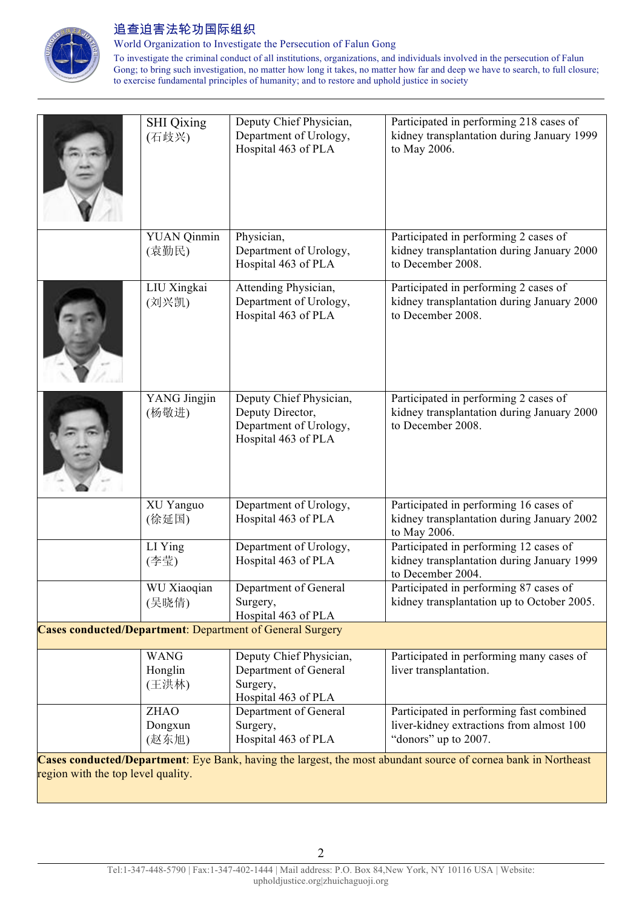

World Organization to Investigate the Persecution of Falun Gong

To investigate the criminal conduct of all institutions, organizations, and individuals involved in the persecution of Falun Gong; to bring such investigation, no matter how long it takes, no matter how far and deep we have to search, to full closure; to exercise fundamental principles of humanity; and to restore and uphold justice in society

|                                                                                                                                                      | <b>SHI</b> Qixing<br>(石歧兴)      | Deputy Chief Physician,<br>Department of Urology,<br>Hospital 463 of PLA                     | Participated in performing 218 cases of<br>kidney transplantation during January 1999<br>to May 2006.        |
|------------------------------------------------------------------------------------------------------------------------------------------------------|---------------------------------|----------------------------------------------------------------------------------------------|--------------------------------------------------------------------------------------------------------------|
|                                                                                                                                                      | <b>YUAN Qinmin</b><br>(袁勤民)     | Physician,<br>Department of Urology,<br>Hospital 463 of PLA                                  | Participated in performing 2 cases of<br>kidney transplantation during January 2000<br>to December 2008.     |
|                                                                                                                                                      | LIU Xingkai<br>(刘兴凯)            | Attending Physician,<br>Department of Urology,<br>Hospital 463 of PLA                        | Participated in performing 2 cases of<br>kidney transplantation during January 2000<br>to December 2008.     |
|                                                                                                                                                      | YANG Jingjin<br>(杨敬进)           | Deputy Chief Physician,<br>Deputy Director,<br>Department of Urology,<br>Hospital 463 of PLA | Participated in performing 2 cases of<br>kidney transplantation during January 2000<br>to December 2008.     |
|                                                                                                                                                      | XU Yanguo<br>(徐延国)              | Department of Urology,<br>Hospital 463 of PLA                                                | Participated in performing 16 cases of<br>kidney transplantation during January 2002<br>to May 2006.         |
|                                                                                                                                                      | LI Ying<br>(李莹)                 | Department of Urology,<br>Hospital 463 of PLA                                                | Participated in performing 12 cases of<br>kidney transplantation during January 1999<br>to December 2004.    |
|                                                                                                                                                      | WU Xiaoqian<br>(吴晓倩)            | Department of General<br>Surgery,<br>Hospital 463 of PLA                                     | Participated in performing 87 cases of<br>kidney transplantation up to October 2005.                         |
|                                                                                                                                                      |                                 | <b>Cases conducted/Department: Department of General Surgery</b>                             |                                                                                                              |
|                                                                                                                                                      | <b>WANG</b><br>Honglin<br>(王洪林) | Deputy Chief Physician,<br>Department of General<br>Surgery,<br>Hospital 463 of PLA          | Participated in performing many cases of<br>liver transplantation.                                           |
|                                                                                                                                                      | <b>ZHAO</b><br>Dongxun<br>(赵东旭) | Department of General<br>Surgery,<br>Hospital 463 of PLA                                     | Participated in performing fast combined<br>liver-kidney extractions from almost 100<br>"donors" up to 2007. |
| Cases conducted/Department: Eye Bank, having the largest, the most abundant source of cornea bank in Northeast<br>region with the top level quality. |                                 |                                                                                              |                                                                                                              |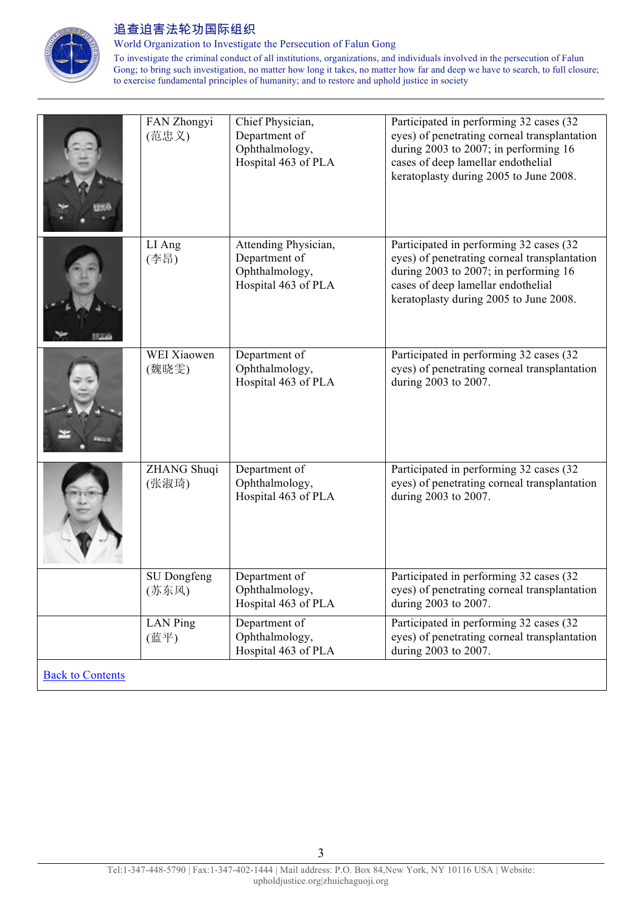

World Organization to Investigate the Persecution of Falun Gong

To investigate the criminal conduct of all institutions, organizations, and individuals involved in the persecution of Falun Gong; to bring such investigation, no matter how long it takes, no matter how far and deep we have to search, to full closure; to exercise fundamental principles of humanity; and to restore and uphold justice in society

| FAN Zhongyi<br>(范忠义)        | Chief Physician,<br>Department of<br>Ophthalmology,<br>Hospital 463 of PLA     | Participated in performing 32 cases (32<br>eyes) of penetrating corneal transplantation<br>during 2003 to 2007; in performing 16<br>cases of deep lamellar endothelial<br>keratoplasty during 2005 to June 2008. |
|-----------------------------|--------------------------------------------------------------------------------|------------------------------------------------------------------------------------------------------------------------------------------------------------------------------------------------------------------|
| LI Ang<br>(李昂)              | Attending Physician,<br>Department of<br>Ophthalmology,<br>Hospital 463 of PLA | Participated in performing 32 cases (32<br>eyes) of penetrating corneal transplantation<br>during 2003 to 2007; in performing 16<br>cases of deep lamellar endothelial<br>keratoplasty during 2005 to June 2008. |
| <b>WEI Xiaowen</b><br>(魏晓雯) | Department of<br>Ophthalmology,<br>Hospital 463 of PLA                         | Participated in performing 32 cases (32<br>eyes) of penetrating corneal transplantation<br>during 2003 to 2007.                                                                                                  |
| ZHANG Shuqi<br>(张淑琦)        | Department of<br>Ophthalmology,<br>Hospital 463 of PLA                         | Participated in performing 32 cases (32<br>eyes) of penetrating corneal transplantation<br>during 2003 to 2007.                                                                                                  |
| SU Dongfeng<br>(苏东风)        | Department of<br>Ophthalmology,<br>Hospital 463 of PLA                         | Participated in performing 32 cases (32<br>eyes) of penetrating corneal transplantation<br>during 2003 to 2007.                                                                                                  |
| LAN Ping<br>(蓝平)            | Department of<br>Ophthalmology,<br>Hospital 463 of PLA                         | Participated in performing 32 cases (32)<br>eyes) of penetrating corneal transplantation<br>during 2003 to 2007.                                                                                                 |

**Back to Contents**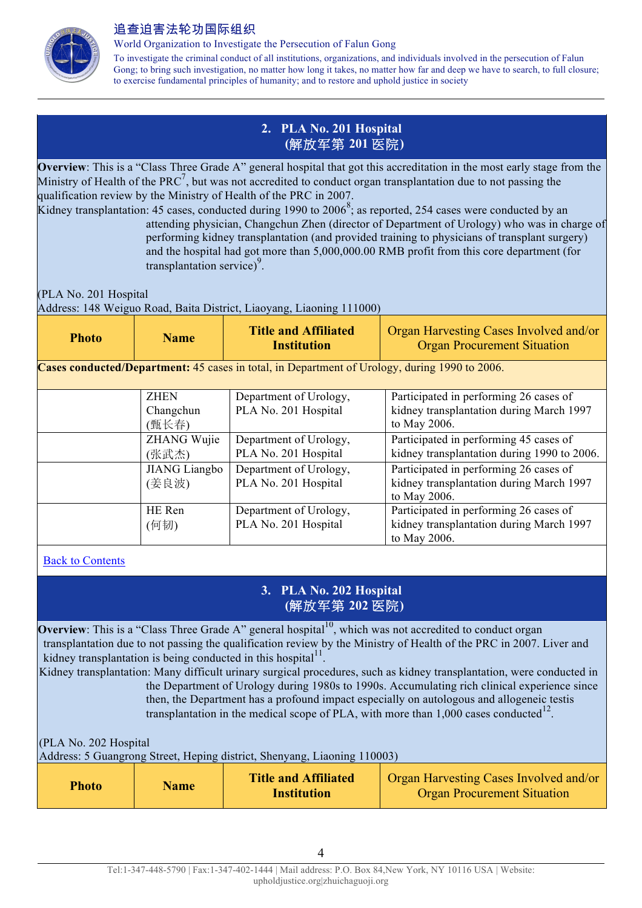

World Organization to Investigate the Persecution of Falun Gong

To investigate the criminal conduct of all institutions, organizations, and individuals involved in the persecution of Falun Gong; to bring such investigation, no matter how long it takes, no matter how far and deep we have to search, to full closure; to exercise fundamental principles of humanity; and to restore and uphold justice in society

## **2. PLA No. 201 Hospital (**解放军第 **201** 医院**)**

**Overview**: This is a "Class Three Grade A" general hospital that got this accreditation in the most early stage from the Ministry of Health of the PRC<sup>7</sup>, but was not accredited to conduct organ transplantation due to not passing the qualification review by the Ministry of Health of the PRC in 2007.

Kidney transplantation: 45 cases, conducted during 1990 to  $2006^8$ ; as reported, 254 cases were conducted by an attending physician, Changchun Zhen (director of Department of Urology) who was in charge of performing kidney transplantation (and provided training to physicians of transplant surgery) and the hospital had got more than 5,000,000.00 RMB profit from this core department (for  $transplantation service)<sup>9</sup>$ .

(PLA No. 201 Hospital

Address: 148 Weiguo Road, Baita District, Liaoyang, Liaoning 111000)

| <b>Photo</b> | <b>Name</b>                       | <b>Title and Affiliated</b><br><b>Institution</b>                                             | Organ Harvesting Cases Involved and/or<br><b>Organ Procurement Situation</b>                       |
|--------------|-----------------------------------|-----------------------------------------------------------------------------------------------|----------------------------------------------------------------------------------------------------|
|              |                                   | Cases conducted/Department: 45 cases in total, in Department of Urology, during 1990 to 2006. |                                                                                                    |
|              | <b>ZHEN</b><br>Changchun<br>(甄长春) | Department of Urology,<br>PLA No. 201 Hospital                                                | Participated in performing 26 cases of<br>kidney transplantation during March 1997<br>to May 2006. |
|              | ZHANG Wujie<br>(张武杰)              | Department of Urology,<br>PLA No. 201 Hospital                                                | Participated in performing 45 cases of<br>kidney transplantation during 1990 to 2006.              |
|              | <b>JIANG</b> Liangbo<br>(姜良波)     | Department of Urology,<br>PLA No. 201 Hospital                                                | Participated in performing 26 cases of<br>kidney transplantation during March 1997<br>to May 2006. |
|              | HE Ren<br>(何韧)                    | Department of Urology,<br>PLA No. 201 Hospital                                                | Participated in performing 26 cases of<br>kidney transplantation during March 1997<br>to May 2006. |

### Back to Contents

### **3. PLA No. 202 Hospital (**解放军第 **202** 医院**)**

**Overview**: This is a "Class Three Grade A" general hospital<sup>10</sup>, which was not accredited to conduct organ transplantation due to not passing the qualification review by the Ministry of Health of the PRC in 2007. Liver and kidney transplantation is being conducted in this hospital $1<sup>11</sup>$ .

Kidney transplantation: Many difficult urinary surgical procedures, such as kidney transplantation, were conducted in the Department of Urology during 1980s to 1990s. Accumulating rich clinical experience since then, the Department has a profound impact especially on autologous and allogeneic testis transplantation in the medical scope of PLA, with more than  $1,000$  cases conducted<sup>12</sup>.

(PLA No. 202 Hospital

| Address: 5 Guangrong Street, Heping district, Shenyang, Liaoning 110003) |             |                                                   |                                                                                     |
|--------------------------------------------------------------------------|-------------|---------------------------------------------------|-------------------------------------------------------------------------------------|
| <b>Photo</b>                                                             | <b>Name</b> | <b>Title and Affiliated</b><br><b>Institution</b> | <b>Organ Harvesting Cases Involved and/or</b><br><b>Organ Procurement Situation</b> |

4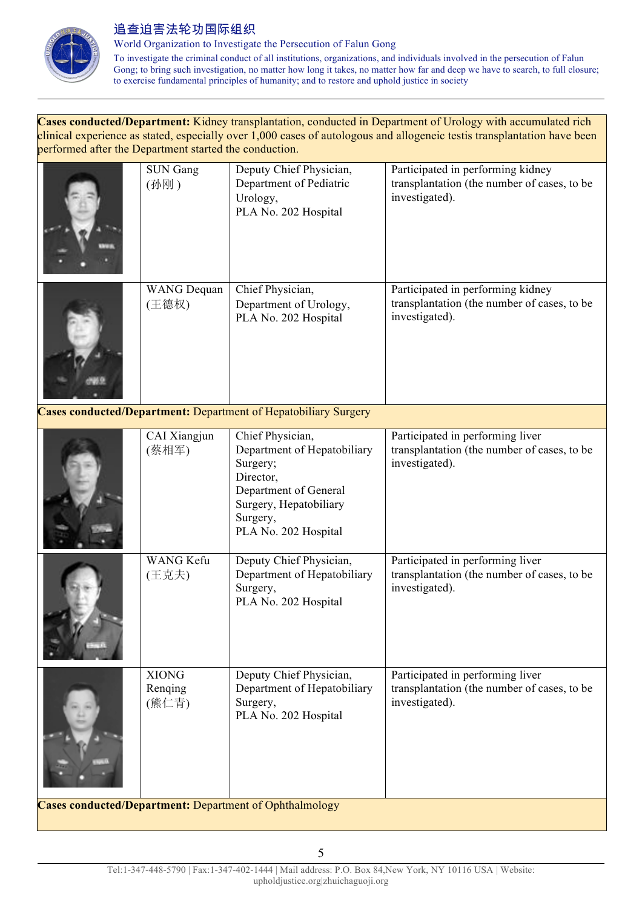

World Organization to Investigate the Persecution of Falun Gong

To investigate the criminal conduct of all institutions, organizations, and individuals involved in the persecution of Falun Gong; to bring such investigation, no matter how long it takes, no matter how far and deep we have to search, to full closure; to exercise fundamental principles of humanity; and to restore and uphold justice in society

**Cases conducted/Department:** Kidney transplantation, conducted in Department of Urology with accumulated rich clinical experience as stated, especially over 1,000 cases of autologous and allogeneic testis transplantation have been performed after the Department started the conduction.

|                                                                | <b>SUN Gang</b><br>(孙刚)          | Deputy Chief Physician,<br>Department of Pediatric<br>Urology,<br>PLA No. 202 Hospital                                                                          | Participated in performing kidney<br>transplantation (the number of cases, to be<br>investigated). |
|----------------------------------------------------------------|----------------------------------|-----------------------------------------------------------------------------------------------------------------------------------------------------------------|----------------------------------------------------------------------------------------------------|
|                                                                | <b>WANG</b> Dequan<br>(王德权)      | Chief Physician,<br>Department of Urology,<br>PLA No. 202 Hospital                                                                                              | Participated in performing kidney<br>transplantation (the number of cases, to be<br>investigated). |
|                                                                |                                  | Cases conducted/Department: Department of Hepatobiliary Surgery                                                                                                 |                                                                                                    |
|                                                                | CAI Xiangjun<br>(蔡相军)            | Chief Physician,<br>Department of Hepatobiliary<br>Surgery;<br>Director,<br>Department of General<br>Surgery, Hepatobiliary<br>Surgery,<br>PLA No. 202 Hospital | Participated in performing liver<br>transplantation (the number of cases, to be<br>investigated).  |
|                                                                | <b>WANG Kefu</b><br>(王克夫)        | Deputy Chief Physician,<br>Department of Hepatobiliary<br>Surgery,<br>PLA No. 202 Hospital                                                                      | Participated in performing liver<br>transplantation (the number of cases, to be<br>investigated).  |
|                                                                | <b>XIONG</b><br>Renging<br>(熊仁青) | Deputy Chief Physician,<br>Department of Hepatobiliary<br>Surgery,<br>PLA No. 202 Hospital                                                                      | Participated in performing liver<br>transplantation (the number of cases, to be<br>investigated).  |
| <b>Cases conducted/Department:</b> Department of Ophthalmology |                                  |                                                                                                                                                                 |                                                                                                    |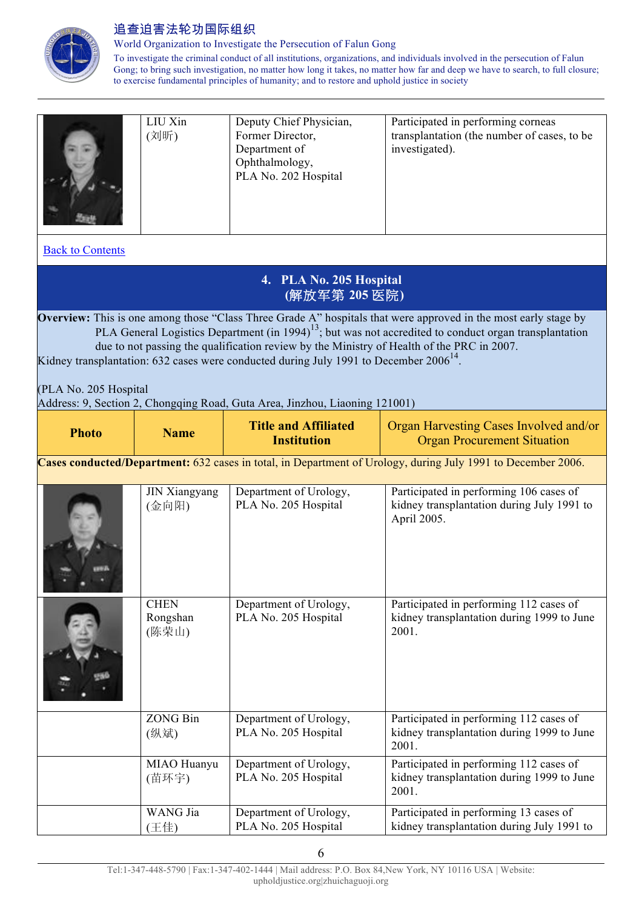

World Organization to Investigate the Persecution of Falun Gong

To investigate the criminal conduct of all institutions, organizations, and individuals involved in the persecution of Falun Gong; to bring such investigation, no matter how long it takes, no matter how far and deep we have to search, to full closure; to exercise fundamental principles of humanity; and to restore and uphold justice in society

|                         | LIU Xin<br>(刘昕)                                                                                                                                                                                                                                                                                                                                                                                                                                                                                                                           | Deputy Chief Physician,<br>Former Director,<br>Department of<br>Ophthalmology,<br>PLA No. 202 Hospital | Participated in performing corneas<br>transplantation (the number of cases, to be<br>investigated).          |  |
|-------------------------|-------------------------------------------------------------------------------------------------------------------------------------------------------------------------------------------------------------------------------------------------------------------------------------------------------------------------------------------------------------------------------------------------------------------------------------------------------------------------------------------------------------------------------------------|--------------------------------------------------------------------------------------------------------|--------------------------------------------------------------------------------------------------------------|--|
| <b>Back to Contents</b> |                                                                                                                                                                                                                                                                                                                                                                                                                                                                                                                                           |                                                                                                        |                                                                                                              |  |
|                         |                                                                                                                                                                                                                                                                                                                                                                                                                                                                                                                                           | 4. PLA No. 205 Hospital<br>(解放军第 205 医院)                                                               |                                                                                                              |  |
|                         | Overview: This is one among those "Class Three Grade A" hospitals that were approved in the most early stage by<br>PLA General Logistics Department (in 1994) <sup>13</sup> ; but was not accredited to conduct organ transplantation<br>due to not passing the qualification review by the Ministry of Health of the PRC in 2007.<br>Kidney transplantation: 632 cases were conducted during July 1991 to December $2006^{14}$ .<br>(PLA No. 205 Hospital<br>Address: 9, Section 2, Chongqing Road, Guta Area, Jinzhou, Liaoning 121001) |                                                                                                        |                                                                                                              |  |
| <b>Photo</b>            | <b>Name</b>                                                                                                                                                                                                                                                                                                                                                                                                                                                                                                                               | <b>Title and Affiliated</b><br><b>Institution</b>                                                      | Organ Harvesting Cases Involved and/or<br><b>Organ Procurement Situation</b>                                 |  |
|                         |                                                                                                                                                                                                                                                                                                                                                                                                                                                                                                                                           |                                                                                                        | Cases conducted/Department: 632 cases in total, in Department of Urology, during July 1991 to December 2006. |  |
|                         | <b>JIN Xiangyang</b><br>(金向阳)                                                                                                                                                                                                                                                                                                                                                                                                                                                                                                             | Department of Urology,<br>PLA No. 205 Hospital                                                         | Participated in performing 106 cases of<br>kidney transplantation during July 1991 to<br>April 2005.         |  |
|                         | <b>CHEN</b><br>Rongshan<br>(陈荣山)                                                                                                                                                                                                                                                                                                                                                                                                                                                                                                          | Department of Urology,<br>PLA No. 205 Hospital                                                         | Participated in performing 112 cases of<br>kidney transplantation during 1999 to June<br>2001.               |  |
|                         | <b>ZONG Bin</b><br>(纵斌)                                                                                                                                                                                                                                                                                                                                                                                                                                                                                                                   | Department of Urology,<br>PLA No. 205 Hospital                                                         | Participated in performing 112 cases of<br>kidney transplantation during 1999 to June<br>2001.               |  |
|                         | MIAO Huanyu<br>(苗环宇)                                                                                                                                                                                                                                                                                                                                                                                                                                                                                                                      | Department of Urology,<br>PLA No. 205 Hospital                                                         | Participated in performing 112 cases of<br>kidney transplantation during 1999 to June<br>2001.               |  |
|                         | WANG Jia<br>(王佳)                                                                                                                                                                                                                                                                                                                                                                                                                                                                                                                          | Department of Urology,<br>PLA No. 205 Hospital                                                         | Participated in performing 13 cases of<br>kidney transplantation during July 1991 to                         |  |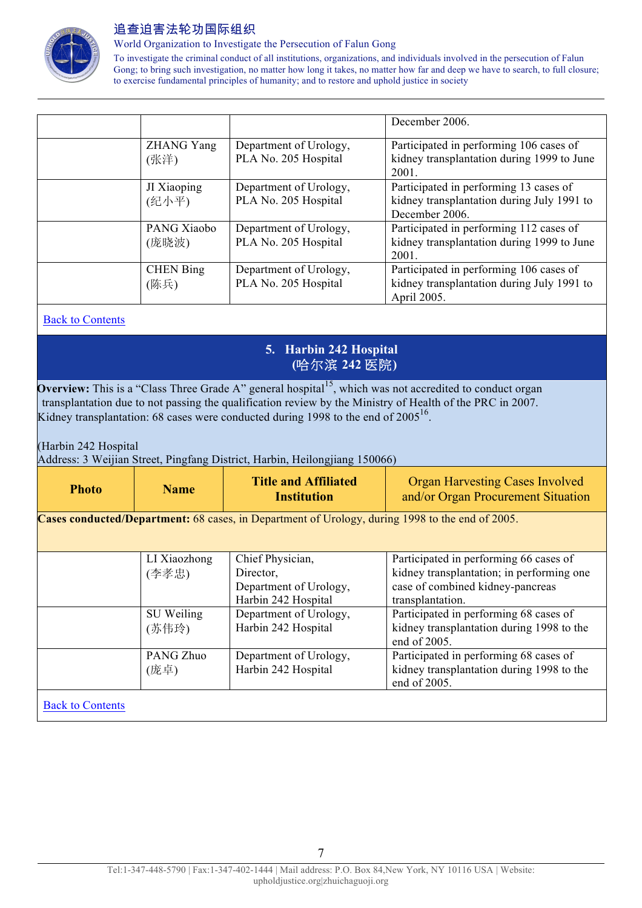

World Organization to Investigate the Persecution of Falun Gong

To investigate the criminal conduct of all institutions, organizations, and individuals involved in the persecution of Falun Gong; to bring such investigation, no matter how long it takes, no matter how far and deep we have to search, to full closure; to exercise fundamental principles of humanity; and to restore and uphold justice in society

|                           |                                                | December 2006.                                                                                         |
|---------------------------|------------------------------------------------|--------------------------------------------------------------------------------------------------------|
| <b>ZHANG Yang</b><br>(张洋) | Department of Urology,<br>PLA No. 205 Hospital | Participated in performing 106 cases of<br>kidney transplantation during 1999 to June<br>2001.         |
| JI Xiaoping<br>(纪小平)      | Department of Urology,<br>PLA No. 205 Hospital | Participated in performing 13 cases of<br>kidney transplantation during July 1991 to<br>December 2006. |
| PANG Xiaobo<br>(庞晓波)      | Department of Urology,<br>PLA No. 205 Hospital | Participated in performing 112 cases of<br>kidney transplantation during 1999 to June<br>2001.         |
| <b>CHEN</b> Bing<br>(陈兵)  | Department of Urology,<br>PLA No. 205 Hospital | Participated in performing 106 cases of<br>kidney transplantation during July 1991 to<br>April 2005.   |

#### Back to Contents

### **5. Harbin 242 Hospital (**哈尔滨 **242** 医院**)**

**Overview:** This is a "Class Three Grade A" general hospital<sup>15</sup>, which was not accredited to conduct organ transplantation due to not passing the qualification review by the Ministry of Health of the PRC in 2007. Kidney transplantation: 68 cases were conducted during 1998 to the end of  $2005^{16}$ .

(Harbin 242 Hospital

Address: 3 Weijian Street, Pingfang District, Harbin, Heilongjiang 150066)

| <b>Photo</b>                                                                                    | <b>Name</b>           | <b>Title and Affiliated</b><br><b>Institution</b>                              | <b>Organ Harvesting Cases Involved</b><br>and/or Organ Procurement Situation                                                                |
|-------------------------------------------------------------------------------------------------|-----------------------|--------------------------------------------------------------------------------|---------------------------------------------------------------------------------------------------------------------------------------------|
| Cases conducted/Department: 68 cases, in Department of Urology, during 1998 to the end of 2005. |                       |                                                                                |                                                                                                                                             |
|                                                                                                 | LI Xiaozhong<br>(李孝忠) | Chief Physician,<br>Director,<br>Department of Urology,<br>Harbin 242 Hospital | Participated in performing 66 cases of<br>kidney transplantation; in performing one<br>case of combined kidney-pancreas<br>transplantation. |
|                                                                                                 | SU Weiling<br>(苏伟玲)   | Department of Urology,<br>Harbin 242 Hospital                                  | Participated in performing 68 cases of<br>kidney transplantation during 1998 to the<br>end of 2005.                                         |
|                                                                                                 | PANG Zhuo<br>(庞卓)     | Department of Urology,<br>Harbin 242 Hospital                                  | Participated in performing 68 cases of<br>kidney transplantation during 1998 to the<br>end of 2005.                                         |
| <b>Back to Contents</b>                                                                         |                       |                                                                                |                                                                                                                                             |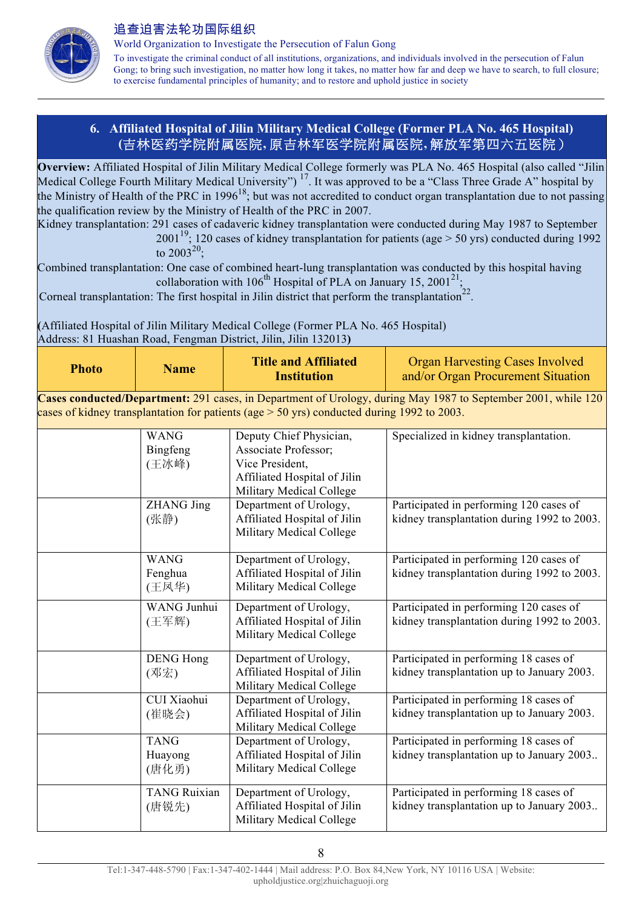

World Organization to Investigate the Persecution of Falun Gong

To investigate the criminal conduct of all institutions, organizations, and individuals involved in the persecution of Falun Gong; to bring such investigation, no matter how long it takes, no matter how far and deep we have to search, to full closure; to exercise fundamental principles of humanity; and to restore and uphold justice in society

### **6. Affiliated Hospital of Jilin Military Medical College (Former PLA No. 465 Hospital) (**吉林医药学院附属医院**,** 原吉林军医学院附属医院**,** 解放军第四六五医院)

**Overview:** Affiliated Hospital of Jilin Military Medical College formerly was PLA No. 465 Hospital (also called "Jilin Medical College Fourth Military Medical University")<sup>17</sup>. It was approved to be a "Class Three Grade A" hospital by the Ministry of Health of the PRC in 1996<sup>18</sup>; but was not accredited to conduct organ transplantation due to not passing the qualification review by the Ministry of Health of the PRC in 2007.

Kidney transplantation: 291 cases of cadaveric kidney transplantation were conducted during May 1987 to September 2001<sup>19</sup>; 120 cases of kidney transplantation for patients (age  $> 50$  yrs) conducted during 1992

to  $2003^{20}$ ;

Combined transplantation: One case of combined heart-lung transplantation was conducted by this hospital having collaboration with  $106^{th}$  Hospital of PLA on January 15, 2001<sup>21</sup>;

Corneal transplantation: The first hospital in Jilin district that perform the transplantation<sup>22</sup>

**(**Affiliated Hospital of Jilin Military Medical College (Former PLA No. 465 Hospital) Address: 81 Huashan Road, Fengman District, Jilin, Jilin 132013**)**

| <b>Photo</b> | <b>Name</b>                      | <b>Title and Affiliated</b><br><b>Institution</b>                                                                              | <b>Organ Harvesting Cases Involved</b><br>and/or Organ Procurement Situation                                  |
|--------------|----------------------------------|--------------------------------------------------------------------------------------------------------------------------------|---------------------------------------------------------------------------------------------------------------|
|              |                                  | cases of kidney transplantation for patients (age $>$ 50 yrs) conducted during 1992 to 2003.                                   | Cases conducted/Department: 291 cases, in Department of Urology, during May 1987 to September 2001, while 120 |
|              | <b>WANG</b><br>Bingfeng<br>(王冰峰) | Deputy Chief Physician,<br>Associate Professor;<br>Vice President,<br>Affiliated Hospital of Jilin<br>Military Medical College | Specialized in kidney transplantation.                                                                        |
|              | <b>ZHANG Jing</b><br>(张静)        | Department of Urology,<br>Affiliated Hospital of Jilin<br>Military Medical College                                             | Participated in performing 120 cases of<br>kidney transplantation during 1992 to 2003.                        |
|              | <b>WANG</b><br>Fenghua<br>(王凤华)  | Department of Urology,<br>Affiliated Hospital of Jilin<br>Military Medical College                                             | Participated in performing 120 cases of<br>kidney transplantation during 1992 to 2003.                        |
|              | WANG Junhui<br>(王军辉)             | Department of Urology,<br>Affiliated Hospital of Jilin<br>Military Medical College                                             | Participated in performing 120 cases of<br>kidney transplantation during 1992 to 2003.                        |
|              | <b>DENG Hong</b><br>(邓宏)         | Department of Urology,<br>Affiliated Hospital of Jilin<br>Military Medical College                                             | Participated in performing 18 cases of<br>kidney transplantation up to January 2003.                          |
|              | CUI Xiaohui<br>(崔晓会)             | Department of Urology,<br>Affiliated Hospital of Jilin<br>Military Medical College                                             | Participated in performing 18 cases of<br>kidney transplantation up to January 2003.                          |
|              | <b>TANG</b><br>Huayong<br>(唐化勇)  | Department of Urology,<br>Affiliated Hospital of Jilin<br>Military Medical College                                             | Participated in performing 18 cases of<br>kidney transplantation up to January 2003                           |
|              | <b>TANG Ruixian</b><br>(唐锐先)     | Department of Urology,<br>Affiliated Hospital of Jilin<br>Military Medical College                                             | Participated in performing 18 cases of<br>kidney transplantation up to January 2003                           |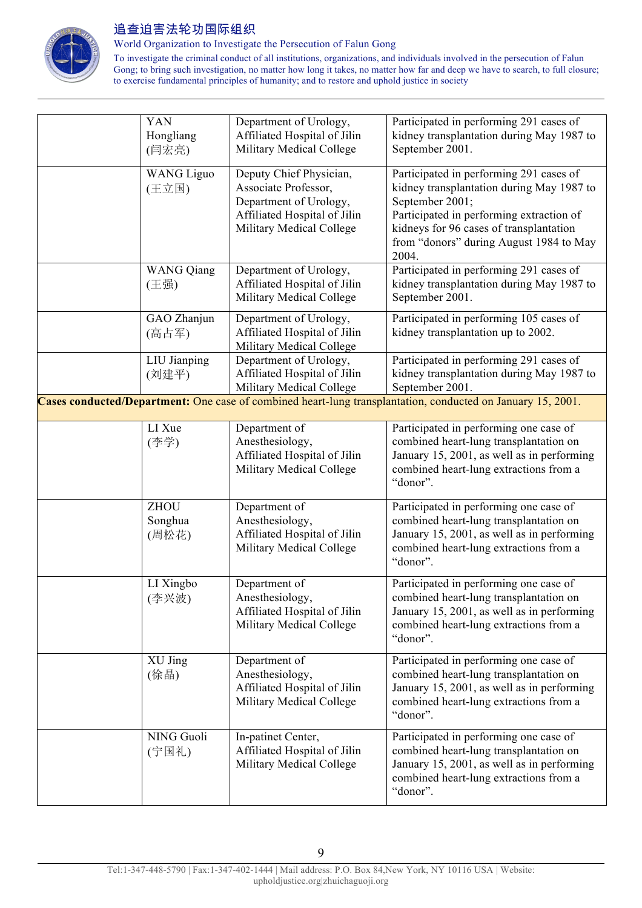

World Organization to Investigate the Persecution of Falun Gong

To investigate the criminal conduct of all institutions, organizations, and individuals involved in the persecution of Falun Gong; to bring such investigation, no matter how long it takes, no matter how far and deep we have to search, to full closure; to exercise fundamental principles of humanity; and to restore and uphold justice in society

| YAN<br>Hongliang<br>(闫宏亮)       | Department of Urology,<br>Affiliated Hospital of Jilin<br>Military Medical College                                                    | Participated in performing 291 cases of<br>kidney transplantation during May 1987 to<br>September 2001.                                                                                                                                            |
|---------------------------------|---------------------------------------------------------------------------------------------------------------------------------------|----------------------------------------------------------------------------------------------------------------------------------------------------------------------------------------------------------------------------------------------------|
| <b>WANG Liguo</b><br>(王立国)      | Deputy Chief Physician,<br>Associate Professor,<br>Department of Urology,<br>Affiliated Hospital of Jilin<br>Military Medical College | Participated in performing 291 cases of<br>kidney transplantation during May 1987 to<br>September 2001;<br>Participated in performing extraction of<br>kidneys for 96 cases of transplantation<br>from "donors" during August 1984 to May<br>2004. |
| <b>WANG Qiang</b><br>(王强)       | Department of Urology,<br>Affiliated Hospital of Jilin<br>Military Medical College                                                    | Participated in performing 291 cases of<br>kidney transplantation during May 1987 to<br>September 2001.                                                                                                                                            |
| GAO Zhanjun<br>(高占军)            | Department of Urology,<br>Affiliated Hospital of Jilin<br>Military Medical College                                                    | Participated in performing 105 cases of<br>kidney transplantation up to 2002.                                                                                                                                                                      |
| LIU Jianping<br>(刘建平)           | Department of Urology,<br>Affiliated Hospital of Jilin<br>Military Medical College                                                    | Participated in performing 291 cases of<br>kidney transplantation during May 1987 to<br>September 2001.                                                                                                                                            |
|                                 |                                                                                                                                       | Cases conducted/Department: One case of combined heart-lung transplantation, conducted on January 15, 2001.                                                                                                                                        |
| LI Xue<br>(李学)                  | Department of<br>Anesthesiology,<br>Affiliated Hospital of Jilin<br>Military Medical College                                          | Participated in performing one case of<br>combined heart-lung transplantation on<br>January 15, 2001, as well as in performing<br>combined heart-lung extractions from a<br>"donor".                                                               |
| <b>ZHOU</b><br>Songhua<br>(周松花) | Department of<br>Anesthesiology,<br>Affiliated Hospital of Jilin<br>Military Medical College                                          | Participated in performing one case of<br>combined heart-lung transplantation on<br>January 15, 2001, as well as in performing<br>combined heart-lung extractions from a<br>"donor".                                                               |
| LI Xingbo<br>(李兴波)              | Department of<br>Anesthesiology,<br>Affiliated Hospital of Jilin<br>Military Medical College                                          | Participated in performing one case of<br>combined heart-lung transplantation on<br>January 15, 2001, as well as in performing<br>combined heart-lung extractions from a<br>"donor".                                                               |
| XU Jing<br>(徐晶)                 | Department of<br>Anesthesiology,<br>Affiliated Hospital of Jilin<br>Military Medical College                                          | Participated in performing one case of<br>combined heart-lung transplantation on<br>January 15, 2001, as well as in performing<br>combined heart-lung extractions from a<br>"donor".                                                               |
| NING Guoli<br>(宁国礼)             | In-patinet Center,<br>Affiliated Hospital of Jilin<br>Military Medical College                                                        | Participated in performing one case of<br>combined heart-lung transplantation on<br>January 15, 2001, as well as in performing<br>combined heart-lung extractions from a<br>"donor".                                                               |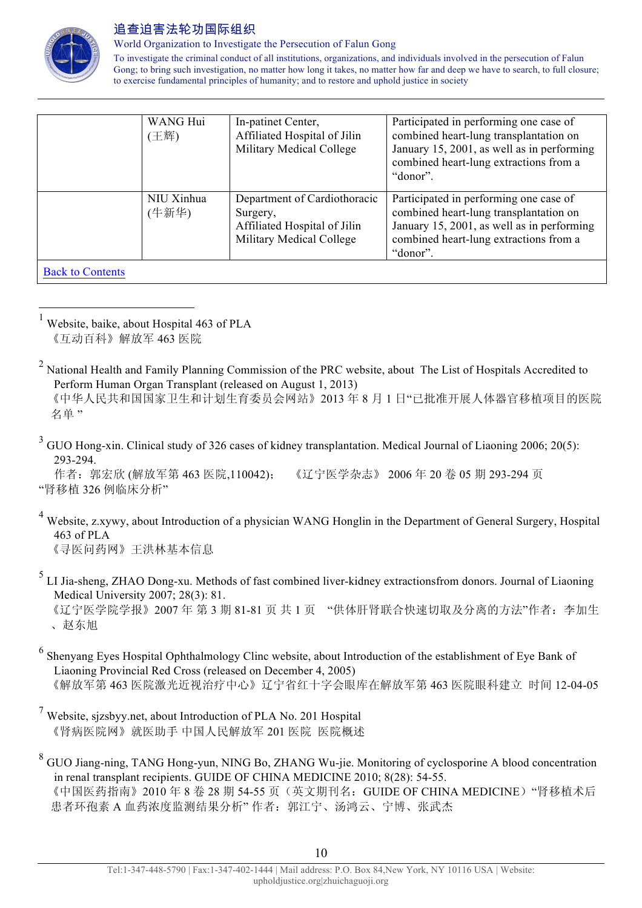

World Organization to Investigate the Persecution of Falun Gong

To investigate the criminal conduct of all institutions, organizations, and individuals involved in the persecution of Falun Gong; to bring such investigation, no matter how long it takes, no matter how far and deep we have to search, to full closure; to exercise fundamental principles of humanity; and to restore and uphold justice in society

|                         | WANG Hui<br>(王辉)    | In-patinet Center,<br>Affiliated Hospital of Jilin<br>Military Medical College                       | Participated in performing one case of<br>combined heart-lung transplantation on<br>January 15, 2001, as well as in performing<br>combined heart-lung extractions from a<br>"donor". |
|-------------------------|---------------------|------------------------------------------------------------------------------------------------------|--------------------------------------------------------------------------------------------------------------------------------------------------------------------------------------|
|                         | NIU Xinhua<br>(牛新华) | Department of Cardiothoracic<br>Surgery,<br>Affiliated Hospital of Jilin<br>Military Medical College | Participated in performing one case of<br>combined heart-lung transplantation on<br>January 15, 2001, as well as in performing<br>combined heart-lung extractions from a<br>"donor". |
| <b>Back to Contents</b> |                     |                                                                                                      |                                                                                                                                                                                      |

 1 Website, baike, about Hospital 463 of PLA 《互动百科》解放军 463 医院

<sup>2</sup> National Health and Family Planning Commission of the PRC website, about The List of Hospitals Accredited to Perform Human Organ Transplant (released on August 1, 2013)

 《中华人民共和国国家卫生和计划生育委员会网站》2013 年 8 月 1 日"已批准开展人体器官移植项目的医院 名单 "

<sup>3</sup> GUO Hong-xin. Clinical study of 326 cases of kidney transplantation. Medical Journal of Liaoning 2006; 20(5): 293-294.

作者:郭宏欣 (解放军第 463 医院,110042); 《辽宁医学杂志》 2006 年 20 卷 05 期 293-294 页 "肾移植 326 例临床分析"

- <sup>4</sup> Website, z.xywy, about Introduction of a physician WANG Honglin in the Department of General Surgery, Hospital 463 of PLA 《寻医问药网》王洪林基本信息
- <sup>5</sup> LI Jia-sheng, ZHAO Dong-xu. Methods of fast combined liver-kidney extractionsfrom donors. Journal of Liaoning Medical University 2007; 28(3): 81.

《辽宁医学院学报》2007年第 3期 81-81 页共 1 页 "供体肝肾联合快速切取及分离的方法"作者: 李加生 、赵东旭

- <sup>6</sup> Shenyang Eyes Hospital Ophthalmology Clinc website, about Introduction of the establishment of Eye Bank of Liaoning Provincial Red Cross (released on December 4, 2005) 《解放军第 463 医院激光近视治疗中心》辽宁省红十字会眼库在解放军第 463 医院眼科建立 时间 12-04-05
- <sup>7</sup> Website, sjzsbyy.net, about Introduction of PLA No. 201 Hospital 《肾病医院网》就医助手 中国人民解放军 201 医院 医院概述
- <sup>8</sup> GUO Jiang-ning, TANG Hong-yun, NING Bo, ZHANG Wu-jie. Monitoring of cyclosporine A blood concentration in renal transplant recipients. GUIDE OF CHINA MEDICINE 2010; 8(28): 54-55. 《中国医药指南》2010年8卷 28 期 54-55 页(英文期刊名: GUIDE OF CHINA MEDICINE) "肾移植术后 患者环孢素 A 血药浓度监测结果分析"作者: 郭江宁、汤鸿云、宁博、张武杰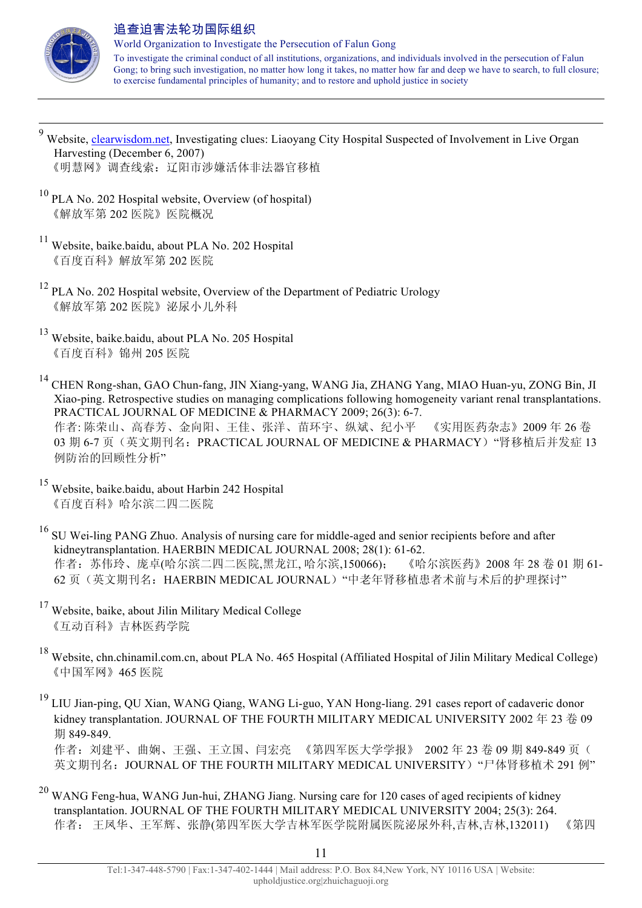

World Organization to Investigate the Persecution of Falun Gong To investigate the criminal conduct of all institutions, organizations, and individuals involved in the persecution of Falun Gong; to bring such investigation, no matter how long it takes, no matter how far and deep we have to search, to full closure; to exercise fundamental principles of humanity; and to restore and uphold justice in society

- 9 Website, clearwisdom.net, Investigating clues: Liaoyang City Hospital Suspected of Involvement in Live Organ Harvesting (December 6, 2007) 《明慧网》调查线索:辽阳市涉嫌活体非法器官移植
- $10$  PLA No. 202 Hospital website, Overview (of hospital) 《解放军第 202 医院》医院概况
- <sup>11</sup> Website, baike.baidu, about PLA No. 202 Hospital 《百度百科》解放军第 202 医院
- <sup>12</sup> PLA No. 202 Hospital website, Overview of the Department of Pediatric Urology 《解放军第 202 医院》泌尿小儿外科
- <sup>13</sup> Website, baike.baidu, about PLA No. 205 Hospital 《百度百科》锦州 205 医院
- <sup>14</sup> CHEN Rong-shan, GAO Chun-fang, JIN Xiang-yang, WANG Jia, ZHANG Yang, MIAO Huan-yu, ZONG Bin, JI Xiao-ping. Retrospective studies on managing complications following homogeneity variant renal transplantations. PRACTICAL JOURNAL OF MEDICINE & PHARMACY 2009; 26(3): 6-7. 作者: 陈荣山、高春芳、金向阳、王佳、张洋、苗环宇、纵斌、纪小平 《实用医药杂志》2009 年 26 卷 03 期 6-7 页(英文期刊名: PRACTICAL JOURNAL OF MEDICINE & PHARMACY) "肾移植后并发症 13 例防治的回顾性分析"
- <sup>15</sup> Website, baike.baidu, about Harbin 242 Hospital 《百度百科》哈尔滨二四二医院
- <sup>16</sup> SU Wei-ling PANG Zhuo. Analysis of nursing care for middle-aged and senior recipients before and after kidneytransplantation. HAERBIN MEDICAL JOURNAL 2008; 28(1): 61-62. 作者:苏伟玲、庞卓(哈尔滨二四二医院,黑龙江, 哈尔滨,150066); 《哈尔滨医药》2008 年 28 卷 01 期 61- 62 页(英文期刊名: HAERBIN MEDICAL JOURNAL) "中老年肾移植患者术前与术后的护理探讨"
- <sup>17</sup> Website, baike, about Jilin Military Medical College 《互动百科》吉林医药学院
- <sup>18</sup> Website, chn.chinamil.com.cn, about PLA No. 465 Hospital (Affiliated Hospital of Jilin Military Medical College) 《中国军网》465 医院
- <sup>19</sup> LIU Jian-ping, QU Xian, WANG Qiang, WANG Li-guo, YAN Hong-liang. 291 cases report of cadaveric donor kidney transplantation. JOURNAL OF THE FOURTH MILITARY MEDICAL UNIVERSITY 2002 年 23 卷 09 期 849-849.

作者: 刘建平、曲娴、王强、王立国、闫宏亮 《第四军医大学学报》 2002年23卷 09期 849-849页( 英文期刊名: JOURNAL OF THE FOURTH MILITARY MEDICAL UNIVERSITY) "尸体肾移植术 291 例"

<sup>20</sup> WANG Feng-hua, WANG Jun-hui, ZHANG Jiang. Nursing care for 120 cases of aged recipients of kidney transplantation. JOURNAL OF THE FOURTH MILITARY MEDICAL UNIVERSITY 2004; 25(3): 264. 作者: 王凤华、王军辉、张静(第四军医大学吉林军医学院附属医院泌尿外科,吉林,吉林,132011) 《第四